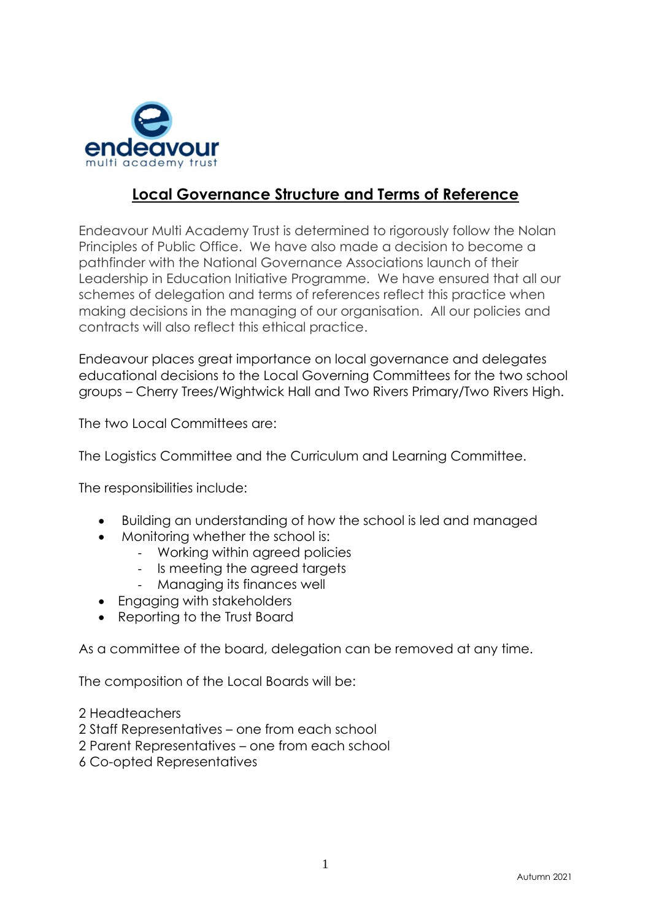

# **Local Governance Structure and Terms of Reference**

Endeavour Multi Academy Trust is determined to rigorously follow the Nolan Principles of Public Office. We have also made a decision to become a pathfinder with the National Governance Associations launch of their Leadership in Education Initiative Programme. We have ensured that all our schemes of delegation and terms of references reflect this practice when making decisions in the managing of our organisation. All our policies and contracts will also reflect this ethical practice.

Endeavour places great importance on local governance and delegates educational decisions to the Local Governing Committees for the two school groups – Cherry Trees/Wightwick Hall and Two Rivers Primary/Two Rivers High.

The two Local Committees are:

The Logistics Committee and the Curriculum and Learning Committee.

The responsibilities include:

- Building an understanding of how the school is led and managed
- Monitoring whether the school is:
	- Working within agreed policies
	- Is meeting the agreed targets
	- Managing its finances well
- Engaging with stakeholders
- Reporting to the Trust Board

As a committee of the board, delegation can be removed at any time.

The composition of the Local Boards will be:

2 Headteachers

2 Staff Representatives – one from each school

2 Parent Representatives – one from each school

6 Co-opted Representatives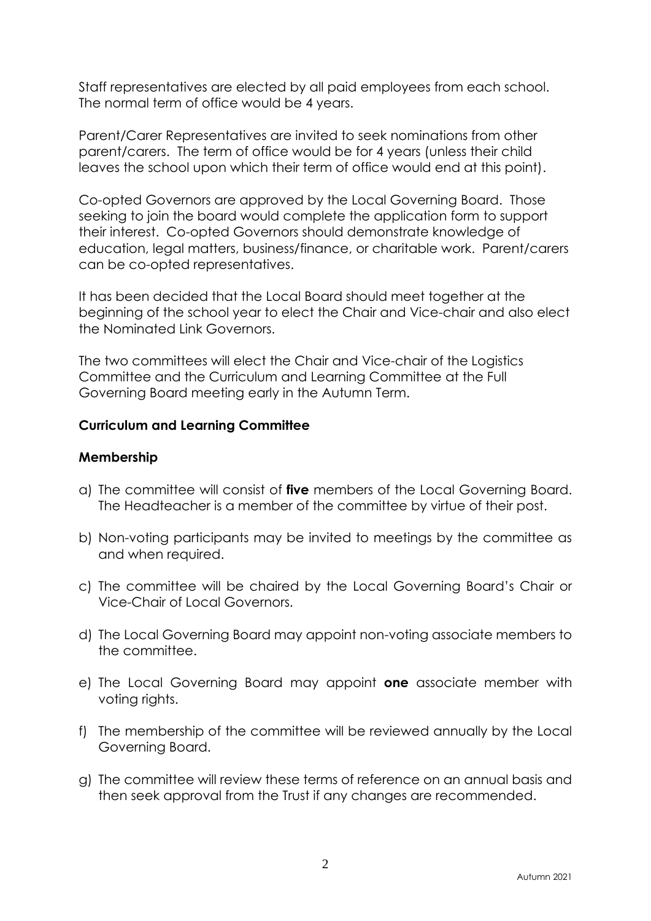Staff representatives are elected by all paid employees from each school. The normal term of office would be 4 years.

Parent/Carer Representatives are invited to seek nominations from other parent/carers. The term of office would be for 4 years (unless their child leaves the school upon which their term of office would end at this point).

Co-opted Governors are approved by the Local Governing Board. Those seeking to join the board would complete the application form to support their interest. Co-opted Governors should demonstrate knowledge of education, legal matters, business/finance, or charitable work. Parent/carers can be co-opted representatives.

It has been decided that the Local Board should meet together at the beginning of the school year to elect the Chair and Vice-chair and also elect the Nominated Link Governors.

The two committees will elect the Chair and Vice-chair of the Logistics Committee and the Curriculum and Learning Committee at the Full Governing Board meeting early in the Autumn Term.

## **Curriculum and Learning Committee**

## **Membership**

- a) The committee will consist of **five** members of the Local Governing Board. The Headteacher is a member of the committee by virtue of their post.
- b) Non-voting participants may be invited to meetings by the committee as and when required.
- c) The committee will be chaired by the Local Governing Board's Chair or Vice-Chair of Local Governors.
- d) The Local Governing Board may appoint non-voting associate members to the committee.
- e) The Local Governing Board may appoint **one** associate member with voting rights.
- f) The membership of the committee will be reviewed annually by the Local Governing Board.
- g) The committee will review these terms of reference on an annual basis and then seek approval from the Trust if any changes are recommended.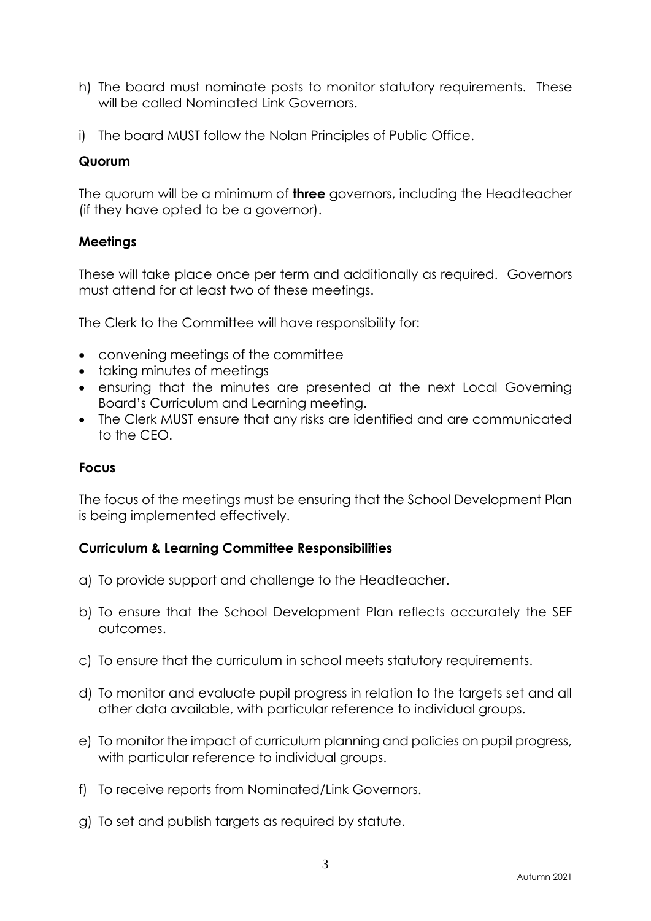- h) The board must nominate posts to monitor statutory requirements. These will be called Nominated Link Governors.
- i) The board MUST follow the Nolan Principles of Public Office.

## **Quorum**

The quorum will be a minimum of **three** governors, including the Headteacher (if they have opted to be a governor).

## **Meetings**

These will take place once per term and additionally as required. Governors must attend for at least two of these meetings.

The Clerk to the Committee will have responsibility for:

- convening meetings of the committee
- taking minutes of meetings
- ensuring that the minutes are presented at the next Local Governing Board's Curriculum and Learning meeting.
- The Clerk MUST ensure that any risks are identified and are communicated to the CEO.

#### **Focus**

The focus of the meetings must be ensuring that the School Development Plan is being implemented effectively.

#### **Curriculum & Learning Committee Responsibilities**

- a) To provide support and challenge to the Headteacher.
- b) To ensure that the School Development Plan reflects accurately the SEF outcomes.
- c) To ensure that the curriculum in school meets statutory requirements.
- d) To monitor and evaluate pupil progress in relation to the targets set and all other data available, with particular reference to individual groups.
- e) To monitor the impact of curriculum planning and policies on pupil progress, with particular reference to individual groups.
- f) To receive reports from Nominated/Link Governors.
- g) To set and publish targets as required by statute.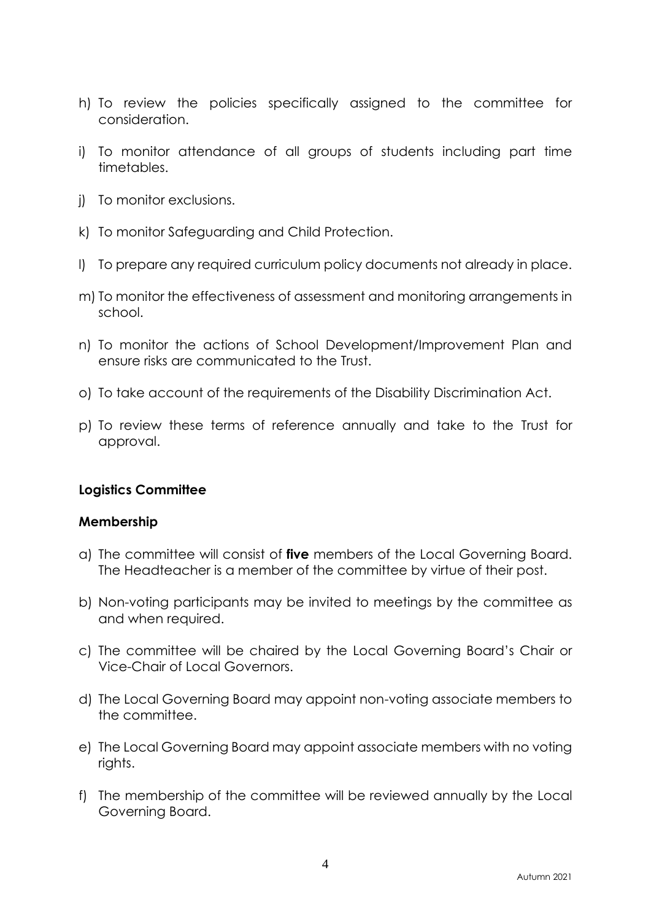- h) To review the policies specifically assigned to the committee for consideration.
- i) To monitor attendance of all groups of students including part time timetables.
- j) To monitor exclusions.
- k) To monitor Safeguarding and Child Protection.
- l) To prepare any required curriculum policy documents not already in place.
- m) To monitor the effectiveness of assessment and monitoring arrangements in school.
- n) To monitor the actions of School Development/Improvement Plan and ensure risks are communicated to the Trust.
- o) To take account of the requirements of the Disability Discrimination Act.
- p) To review these terms of reference annually and take to the Trust for approval.

#### **Logistics Committee**

#### **Membership**

- a) The committee will consist of **five** members of the Local Governing Board. The Headteacher is a member of the committee by virtue of their post.
- b) Non-voting participants may be invited to meetings by the committee as and when required.
- c) The committee will be chaired by the Local Governing Board's Chair or Vice-Chair of Local Governors.
- d) The Local Governing Board may appoint non-voting associate members to the committee.
- e) The Local Governing Board may appoint associate members with no voting rights.
- f) The membership of the committee will be reviewed annually by the Local Governing Board.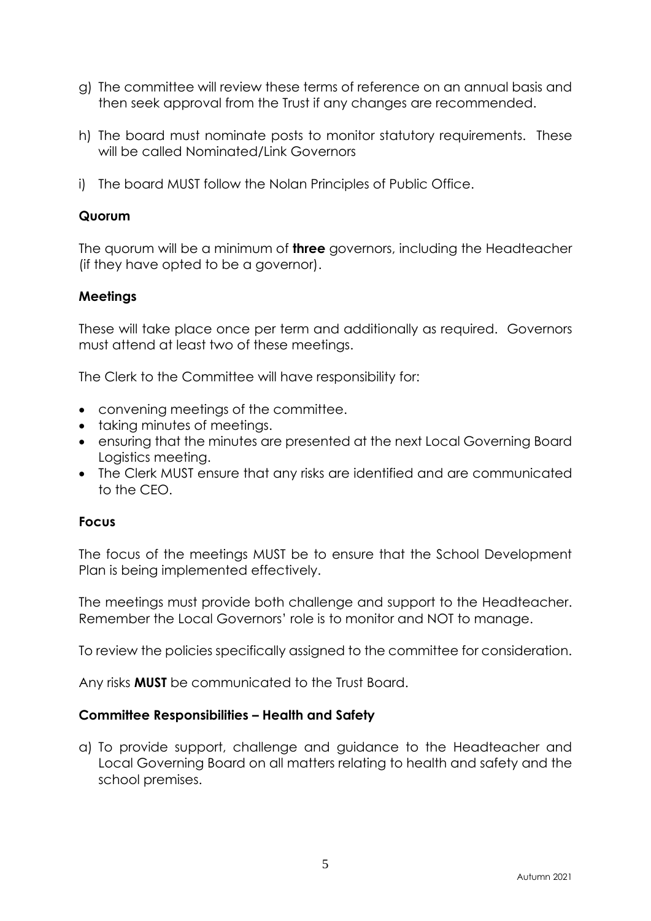- g) The committee will review these terms of reference on an annual basis and then seek approval from the Trust if any changes are recommended.
- h) The board must nominate posts to monitor statutory requirements. These will be called Nominated/Link Governors
- i) The board MUST follow the Nolan Principles of Public Office.

### **Quorum**

The quorum will be a minimum of **three** governors, including the Headteacher (if they have opted to be a governor).

## **Meetings**

These will take place once per term and additionally as required. Governors must attend at least two of these meetings.

The Clerk to the Committee will have responsibility for:

- convening meetings of the committee.
- taking minutes of meetings.
- ensuring that the minutes are presented at the next Local Governing Board Logistics meeting.
- The Clerk MUST ensure that any risks are identified and are communicated to the CEO.

#### **Focus**

The focus of the meetings MUST be to ensure that the School Development Plan is being implemented effectively.

The meetings must provide both challenge and support to the Headteacher. Remember the Local Governors' role is to monitor and NOT to manage.

To review the policies specifically assigned to the committee for consideration.

Any risks **MUST** be communicated to the Trust Board.

#### **Committee Responsibilities – Health and Safety**

a) To provide support, challenge and guidance to the Headteacher and Local Governing Board on all matters relating to health and safety and the school premises.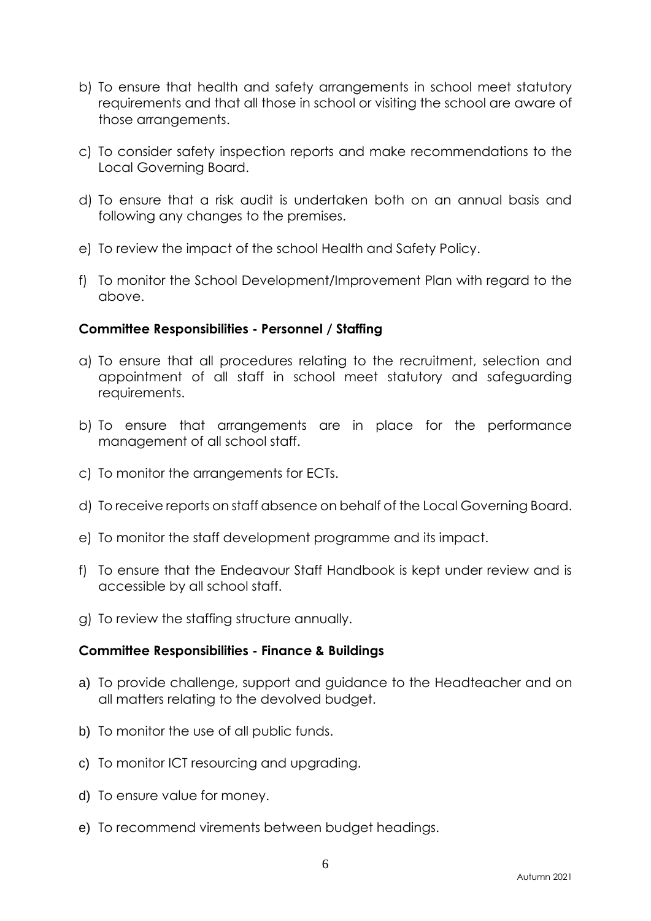- b) To ensure that health and safety arrangements in school meet statutory requirements and that all those in school or visiting the school are aware of those arrangements.
- c) To consider safety inspection reports and make recommendations to the Local Governing Board.
- d) To ensure that a risk audit is undertaken both on an annual basis and following any changes to the premises.
- e) To review the impact of the school Health and Safety Policy.
- f) To monitor the School Development/Improvement Plan with regard to the above.

## **Committee Responsibilities - Personnel / Staffing**

- a) To ensure that all procedures relating to the recruitment, selection and appointment of all staff in school meet statutory and safeguarding requirements.
- b) To ensure that arrangements are in place for the performance management of all school staff.
- c) To monitor the arrangements for ECTs.
- d) To receive reports on staff absence on behalf of the Local Governing Board.
- e) To monitor the staff development programme and its impact.
- f) To ensure that the Endeavour Staff Handbook is kept under review and is accessible by all school staff.
- g) To review the staffing structure annually.

#### **Committee Responsibilities - Finance & Buildings**

- a) To provide challenge, support and guidance to the Headteacher and on all matters relating to the devolved budget.
- b) To monitor the use of all public funds.
- c) To monitor ICT resourcing and upgrading.
- d) To ensure value for money.
- e) To recommend virements between budget headings.